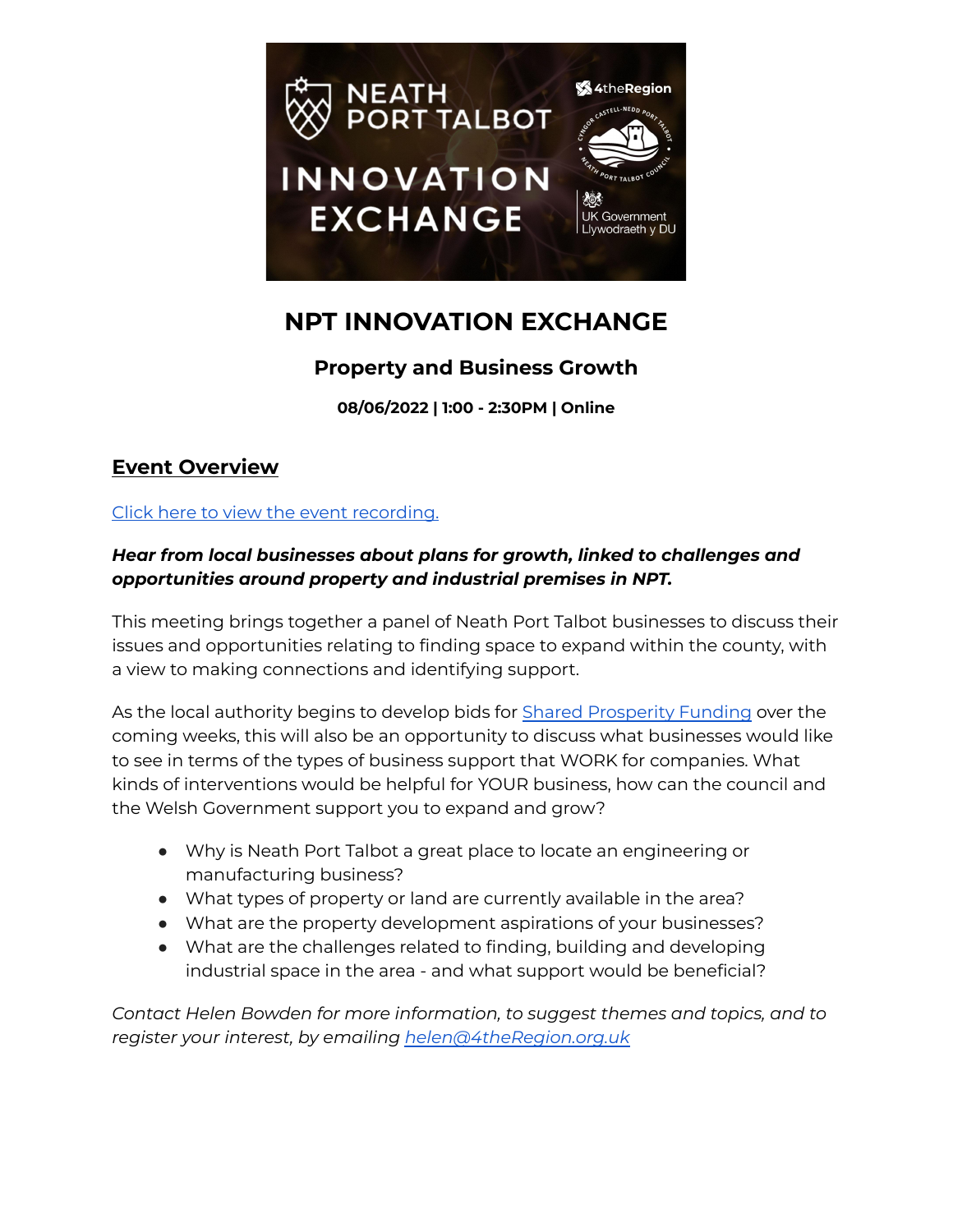

# **NPT INNOVATION EXCHANGE**

#### **Property and Business Growth**

**08/06/2022 | 1:00 - 2:30PM | Online**

#### **Event Overview**

#### Click here to view the event [recording.](https://youtu.be/b8zZzRzswqA)

#### *Hear from local businesses about plans for growth, linked to challenges and opportunities around property and industrial premises in NPT.*

This meeting brings together a panel of Neath Port Talbot businesses to discuss their issues and opportunities relating to finding space to expand within the county, with a view to making connections and identifying support.

As the local authority begins to develop bids for Shared [Prosperity](https://www.gov.uk/government/publications/uk-shared-prosperity-fund-prospectus) Funding over the coming weeks, this will also be an opportunity to discuss what businesses would like to see in terms of the types of business support that WORK for companies. What kinds of interventions would be helpful for YOUR business, how can the council and the Welsh Government support you to expand and grow?

- Why is Neath Port Talbot a great place to locate an engineering or manufacturing business?
- What types of property or land are currently available in the area?
- What are the property development aspirations of your businesses?
- What are the challenges related to finding, building and developing industrial space in the area - and what support would be beneficial?

*Contact Helen Bowden for more information, to suggest themes and topics, and to register your interest, by emailing [helen@4theRegion.org.uk](mailto:helen@4theRegion.org.uk)*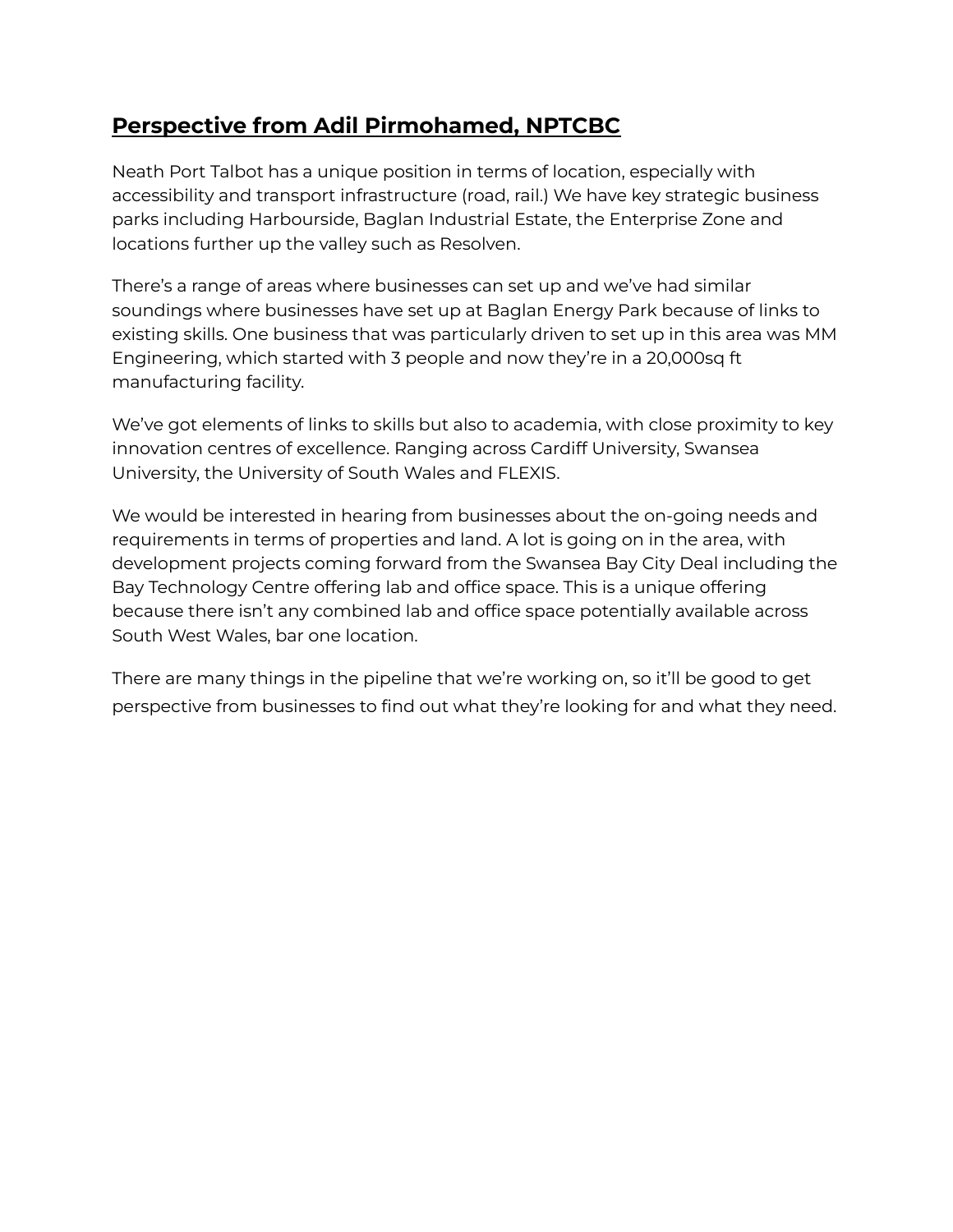# **Perspective from Adil Pirmohamed, NPTCBC**

Neath Port Talbot has a unique position in terms of location, especially with accessibility and transport infrastructure (road, rail.) We have key strategic business parks including Harbourside, Baglan Industrial Estate, the Enterprise Zone and locations further up the valley such as Resolven.

There's a range of areas where businesses can set up and we've had similar soundings where businesses have set up at Baglan Energy Park because of links to existing skills. One business that was particularly driven to set up in this area was MM Engineering, which started with 3 people and now they're in a 20,000sq ft manufacturing facility.

We've got elements of links to skills but also to academia, with close proximity to key innovation centres of excellence. Ranging across Cardiff University, Swansea University, the University of South Wales and FLEXIS.

We would be interested in hearing from businesses about the on-going needs and requirements in terms of properties and land. A lot is going on in the area, with development projects coming forward from the Swansea Bay City Deal including the Bay Technology Centre offering lab and office space. This is a unique offering because there isn't any combined lab and office space potentially available across South West Wales, bar one location.

There are many things in the pipeline that we're working on, so it'll be good to get perspective from businesses to find out what they're looking for and what they need.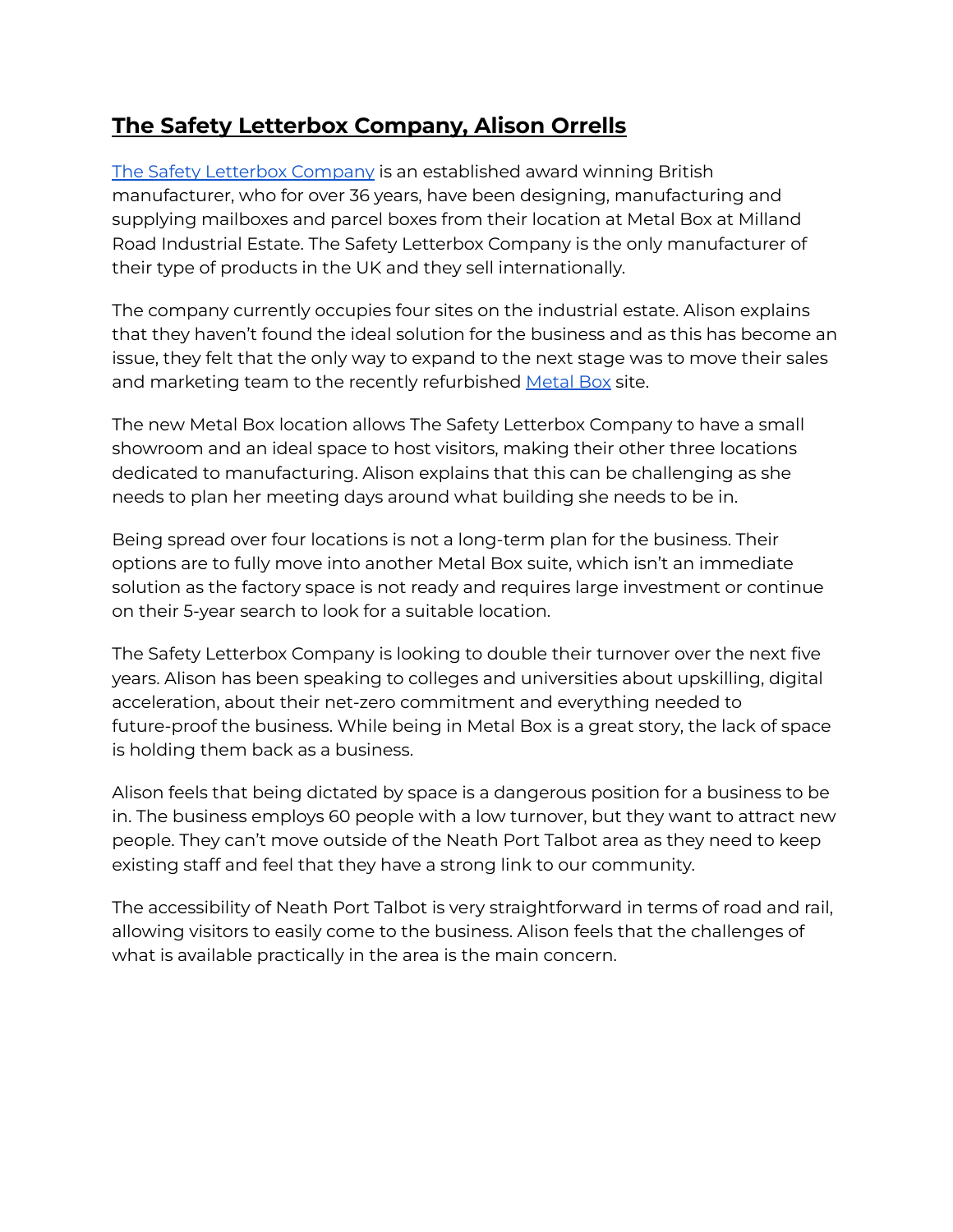# **The Safety Letterbox Company, Alison Orrells**

The Safety Letterbox [Company](https://www.safetyletterbox.com/) is an established award winning British manufacturer, who for over 36 years, have been designing, manufacturing and supplying mailboxes and parcel boxes from their location at Metal Box at Milland Road Industrial Estate. The Safety Letterbox Company is the only manufacturer of their type of products in the UK and they sell internationally.

The company currently occupies four sites on the industrial estate. Alison explains that they haven't found the ideal solution for the business and as this has become an issue, they felt that the only way to expand to the next stage was to move their sales and marketing team to the recently refurbished [Metal](https://www.npt.gov.uk/26864) Box site.

The new Metal Box location allows The Safety Letterbox Company to have a small showroom and an ideal space to host visitors, making their other three locations dedicated to manufacturing. Alison explains that this can be challenging as she needs to plan her meeting days around what building she needs to be in.

Being spread over four locations is not a long-term plan for the business. Their options are to fully move into another Metal Box suite, which isn't an immediate solution as the factory space is not ready and requires large investment or continue on their 5-year search to look for a suitable location.

The Safety Letterbox Company is looking to double their turnover over the next five years. Alison has been speaking to colleges and universities about upskilling, digital acceleration, about their net-zero commitment and everything needed to future-proof the business. While being in Metal Box is a great story, the lack of space is holding them back as a business.

Alison feels that being dictated by space is a dangerous position for a business to be in. The business employs 60 people with a low turnover, but they want to attract new people. They can't move outside of the Neath Port Talbot area as they need to keep existing staff and feel that they have a strong link to our community.

The accessibility of Neath Port Talbot is very straightforward in terms of road and rail, allowing visitors to easily come to the business. Alison feels that the challenges of what is available practically in the area is the main concern.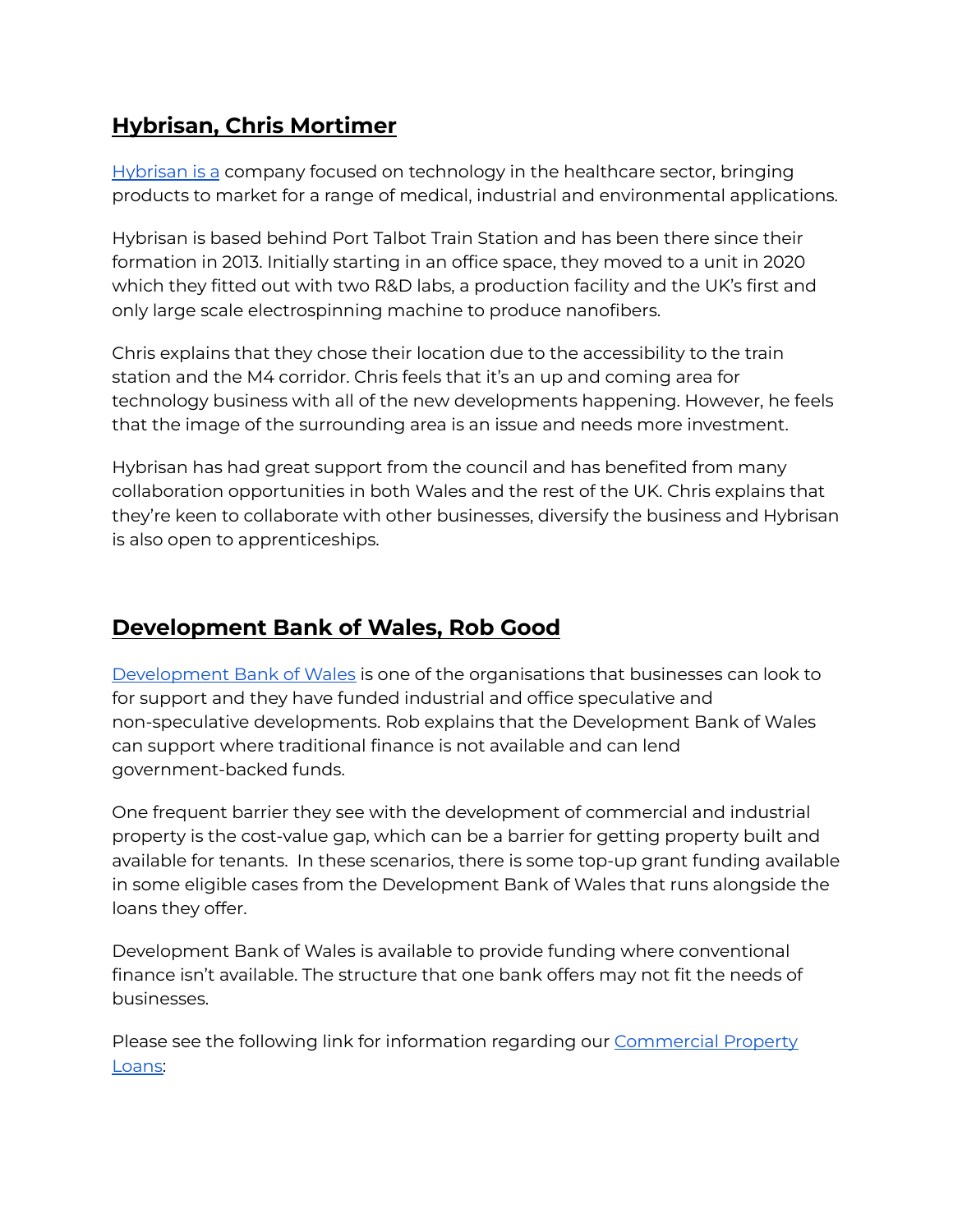# **Hybrisan, Chris Mortimer**

[Hybrisan](https://www.hybrisan.com/) is a company focused on technology in the healthcare sector, bringing products to market for a range of medical, industrial and environmental applications.

Hybrisan is based behind Port Talbot Train Station and has been there since their formation in 2013. Initially starting in an office space, they moved to a unit in 2020 which they fitted out with two R&D labs, a production facility and the UK's first and only large scale electrospinning machine to produce nanofibers.

Chris explains that they chose their location due to the accessibility to the train station and the M4 corridor. Chris feels that it's an up and coming area for technology business with all of the new developments happening. However, he feels that the image of the surrounding area is an issue and needs more investment.

Hybrisan has had great support from the council and has benefited from many collaboration opportunities in both Wales and the rest of the UK. Chris explains that they're keen to collaborate with other businesses, diversify the business and Hybrisan is also open to apprenticeships.

# **Development Bank of Wales, Rob Good**

[Development](https://developmentbank.wales/) Bank of Wales is one of the organisations that businesses can look to for support and they have funded industrial and office speculative and non-speculative developments. Rob explains that the Development Bank of Wales can support where traditional finance is not available and can lend government-backed funds.

One frequent barrier they see with the development of commercial and industrial property is the cost-value gap, which can be a barrier for getting property built and available for tenants. In these scenarios, there is some top-up grant funding available in some eligible cases from the Development Bank of Wales that runs alongside the loans they offer.

Development Bank of Wales is available to provide funding where conventional finance isn't available. The structure that one bank offers may not fit the needs of businesses.

Please see the following link for information regarding our **[Commercial](https://developmentbank.wales/get-business-finance/property-development-loans/commercial-property-loans) Property** [Loans:](https://developmentbank.wales/get-business-finance/property-development-loans/commercial-property-loans)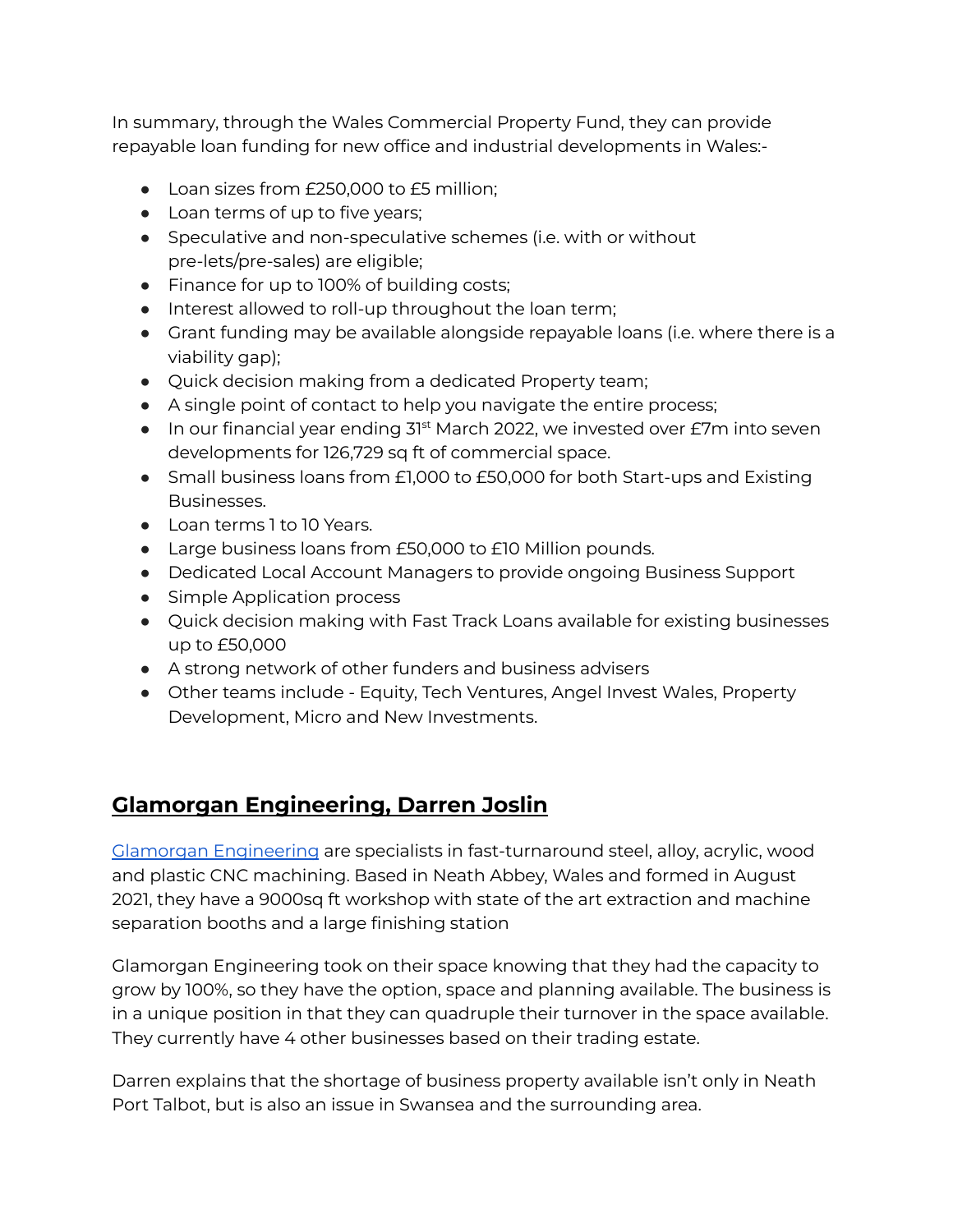In summary, through the Wales Commercial Property Fund, they can provide repayable loan funding for new office and industrial developments in Wales:-

- Loan sizes from £250,000 to £5 million;
- Loan terms of up to five years;
- Speculative and non-speculative schemes (i.e. with or without pre-lets/pre-sales) are eligible;
- Finance for up to 100% of building costs;
- Interest allowed to roll-up throughout the loan term;
- Grant funding may be available alongside repayable loans (i.e. where there is a viability gap);
- Quick decision making from a dedicated Property team;
- A single point of contact to help you navigate the entire process;
- In our financial year ending 31<sup>st</sup> March 2022, we invested over £7m into seven developments for 126,729 sq ft of commercial space.
- Small business loans from £1,000 to £50,000 for both Start-ups and Existing Businesses.
- Loan terms 1 to 10 Years.
- Large business loans from £50,000 to £10 Million pounds.
- Dedicated Local Account Managers to provide ongoing Business Support
- Simple Application process
- Quick decision making with Fast Track Loans available for existing businesses up to £50,000
- A strong network of other funders and business advisers
- Other teams include Equity, Tech Ventures, Angel Invest Wales, Property Development, Micro and New Investments.

# **Glamorgan Engineering, Darren Joslin**

Glamorgan [Engineering](https://www.glamcnc.com/) are specialists in fast-turnaround steel, alloy, acrylic, wood and plastic CNC machining. Based in Neath Abbey, Wales and formed in August 2021, they have a 9000sq ft workshop with state of the art extraction and machine separation booths and a large finishing station

Glamorgan Engineering took on their space knowing that they had the capacity to grow by 100%, so they have the option, space and planning available. The business is in a unique position in that they can quadruple their turnover in the space available. They currently have 4 other businesses based on their trading estate.

Darren explains that the shortage of business property available isn't only in Neath Port Talbot, but is also an issue in Swansea and the surrounding area.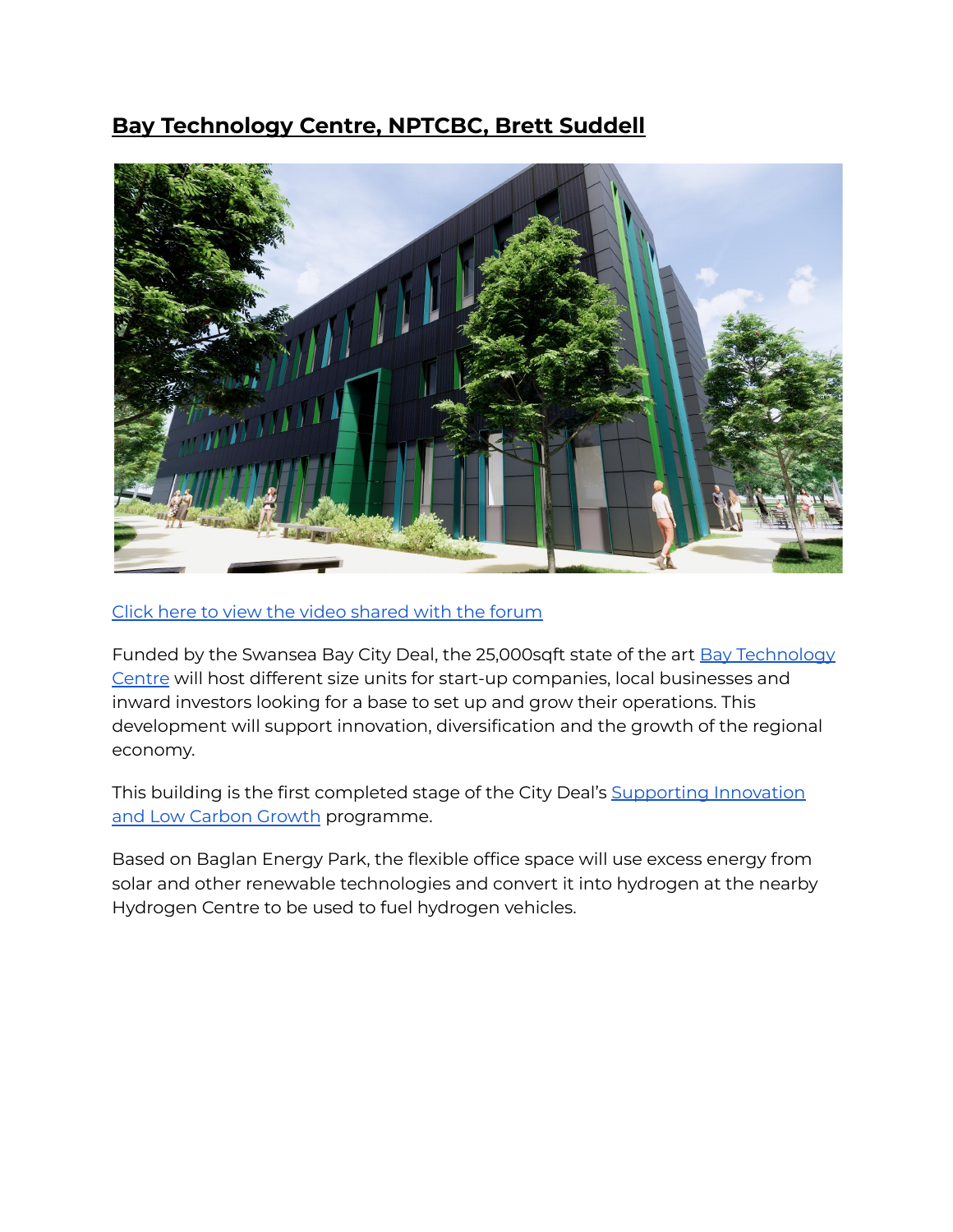# **Bay Technology Centre, NPTCBC, Brett Suddell**



#### Click here to view the video [shared](https://bit.ly/3wksdGV) with the forum

Funded by the Swansea Bay City Deal, the 25,000sqft state of the art **Bay [Technology](https://www.npt.gov.uk/29487)** [Centre](https://www.npt.gov.uk/29487) will host different size units for start-up companies, local businesses and inward investors looking for a base to set up and grow their operations. This development will support innovation, diversification and the growth of the regional economy.

This building is the first completed stage of the City Deal's [Supporting](https://www.swanseabaycitydeal.wales/projects/supporting-innovation-and-low-carbon-growth/) Innovation and Low Carbon [Growth](https://www.swanseabaycitydeal.wales/projects/supporting-innovation-and-low-carbon-growth/) programme.

Based on Baglan Energy Park, the flexible office space will use excess energy from solar and other renewable technologies and convert it into hydrogen at the nearby Hydrogen Centre to be used to fuel hydrogen vehicles.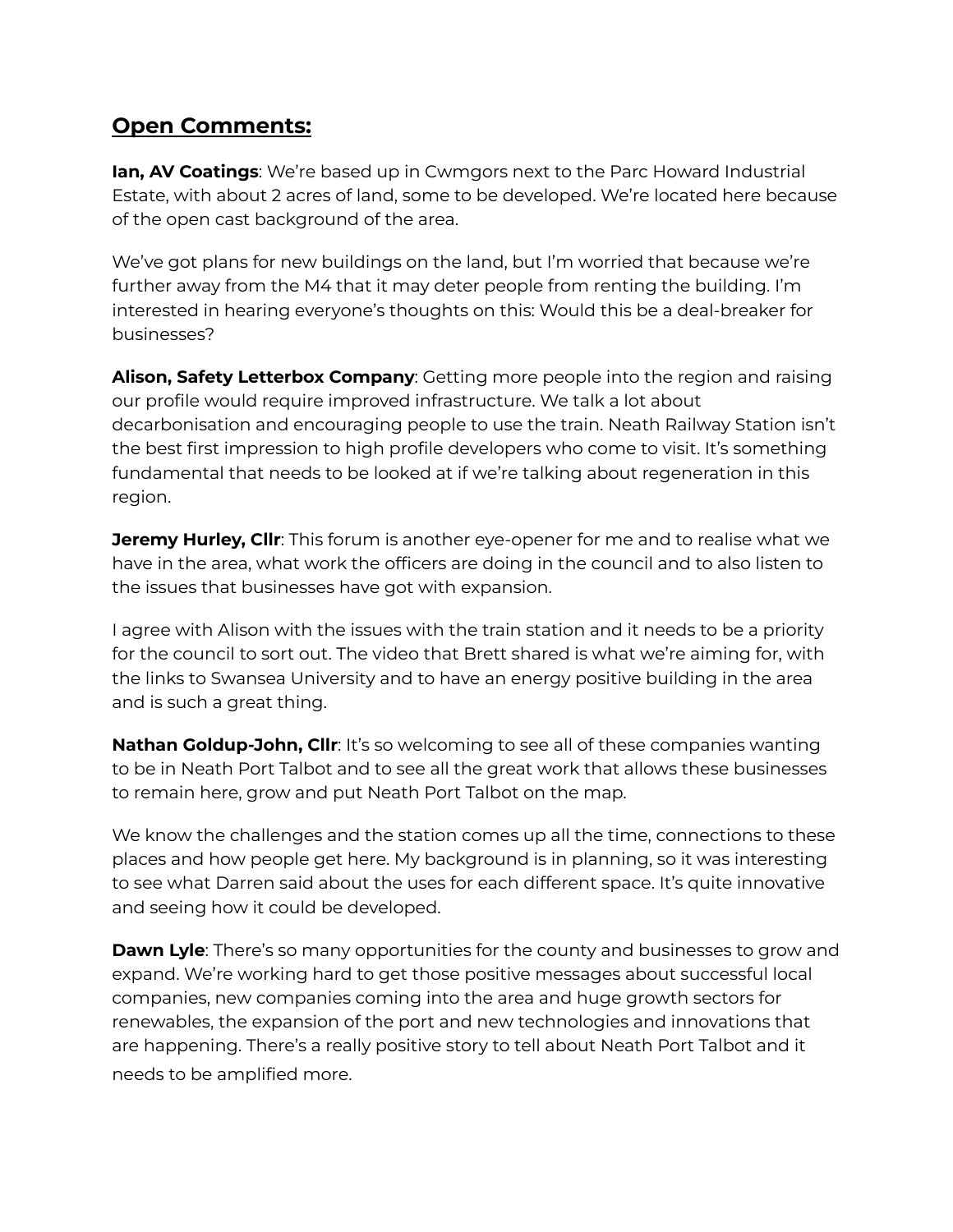## **Open Comments:**

**Ian, AV Coatings**: We're based up in Cwmgors next to the Parc Howard Industrial Estate, with about 2 acres of land, some to be developed. We're located here because of the open cast background of the area.

We've got plans for new buildings on the land, but I'm worried that because we're further away from the M4 that it may deter people from renting the building. I'm interested in hearing everyone's thoughts on this: Would this be a deal-breaker for businesses?

**Alison, Safety Letterbox Company**: Getting more people into the region and raising our profile would require improved infrastructure. We talk a lot about decarbonisation and encouraging people to use the train. Neath Railway Station isn't the best first impression to high profile developers who come to visit. It's something fundamental that needs to be looked at if we're talking about regeneration in this region.

**Jeremy Hurley, Cllr**: This forum is another eye-opener for me and to realise what we have in the area, what work the officers are doing in the council and to also listen to the issues that businesses have got with expansion.

I agree with Alison with the issues with the train station and it needs to be a priority for the council to sort out. The video that Brett shared is what we're aiming for, with the links to Swansea University and to have an energy positive building in the area and is such a great thing.

**Nathan Goldup-John, Cllr**: It's so welcoming to see all of these companies wanting to be in Neath Port Talbot and to see all the great work that allows these businesses to remain here, grow and put Neath Port Talbot on the map.

We know the challenges and the station comes up all the time, connections to these places and how people get here. My background is in planning, so it was interesting to see what Darren said about the uses for each different space. It's quite innovative and seeing how it could be developed.

**Dawn Lyle**: There's so many opportunities for the county and businesses to grow and expand. We're working hard to get those positive messages about successful local companies, new companies coming into the area and huge growth sectors for renewables, the expansion of the port and new technologies and innovations that are happening. There's a really positive story to tell about Neath Port Talbot and it needs to be amplified more.